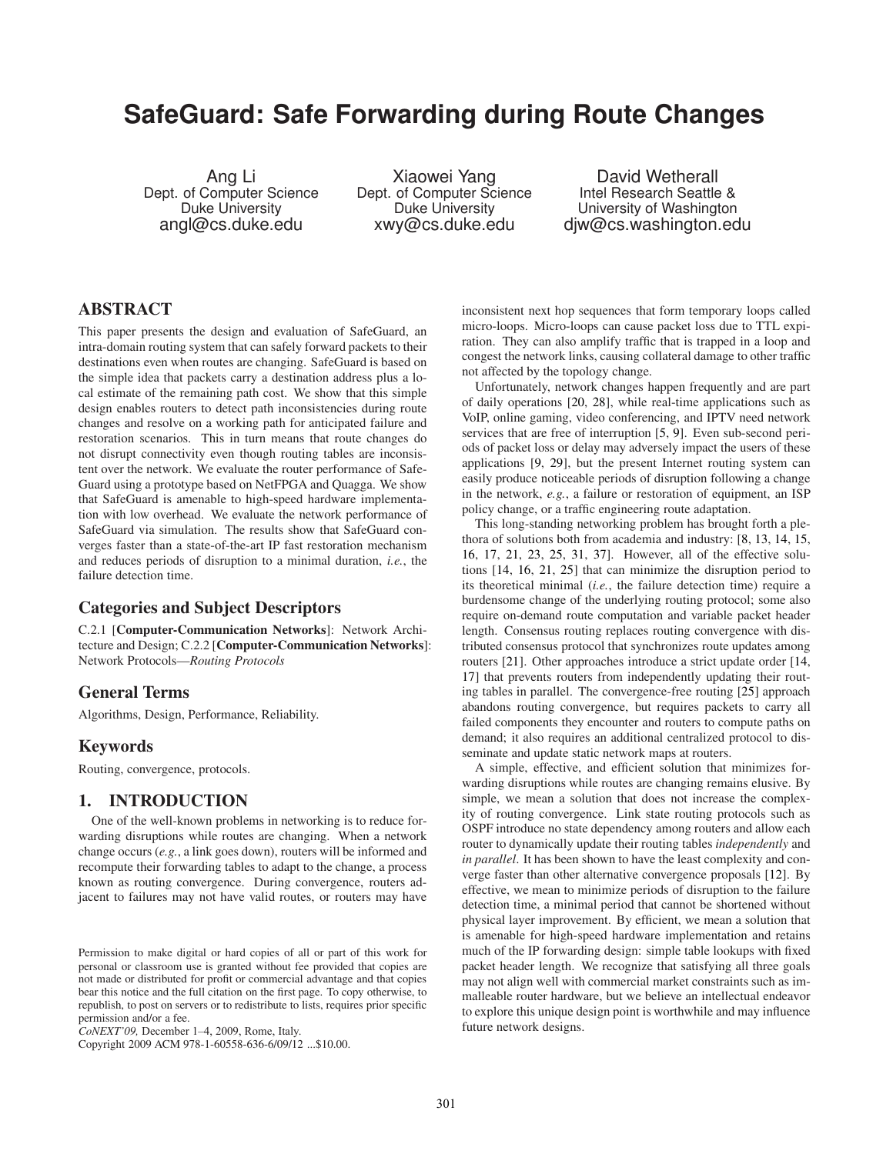# **SafeGuard: Safe Forwarding during Route Changes**

Ang Li Dept. of Computer Science Duke University angl@cs.duke.edu

Xiaowei Yang Dept. of Computer Science Duke University xwy@cs.duke.edu

David Wetherall Intel Research Seattle & University of Washington djw@cs.washington.edu

# ABSTRACT

This paper presents the design and evaluation of SafeGuard, an intra-domain routing system that can safely forward packets to their destinations even when routes are changing. SafeGuard is based on the simple idea that packets carry a destination address plus a local estimate of the remaining path cost. We show that this simple design enables routers to detect path inconsistencies during route changes and resolve on a working path for anticipated failure and restoration scenarios. This in turn means that route changes do not disrupt connectivity even though routing tables are inconsistent over the network. We evaluate the router performance of Safe-Guard using a prototype based on NetFPGA and Quagga. We show that SafeGuard is amenable to high-speed hardware implementation with low overhead. We evaluate the network performance of SafeGuard via simulation. The results show that SafeGuard converges faster than a state-of-the-art IP fast restoration mechanism and reduces periods of disruption to a minimal duration, *i.e.*, the failure detection time.

# Categories and Subject Descriptors

C.2.1 [Computer-Communication Networks]: Network Architecture and Design; C.2.2 [Computer-Communication Networks]: Network Protocols—*Routing Protocols*

# General Terms

Algorithms, Design, Performance, Reliability.

# Keywords

Routing, convergence, protocols.

# 1. INTRODUCTION

One of the well-known problems in networking is to reduce forwarding disruptions while routes are changing. When a network change occurs (*e.g.*, a link goes down), routers will be informed and recompute their forwarding tables to adapt to the change, a process known as routing convergence. During convergence, routers adjacent to failures may not have valid routes, or routers may have

Copyright 2009 ACM 978-1-60558-636-6/09/12 ...\$10.00.

inconsistent next hop sequences that form temporary loops called micro-loops. Micro-loops can cause packet loss due to TTL expiration. They can also amplify traffic that is trapped in a loop and congest the network links, causing collateral damage to other traffic not affected by the topology change.

Unfortunately, network changes happen frequently and are part of daily operations [\[20,](#page-11-0) [28](#page-11-1)], while real-time applications such as VoIP, online gaming, video conferencing, and IPTV need network services that are free of interruption [\[5,](#page-10-0) [9](#page-11-2)]. Even sub-second periods of packet loss or delay may adversely impact the users of these applications [\[9](#page-11-2), [29](#page-11-3)], but the present Internet routing system can easily produce noticeable periods of disruption following a change in the network, *e.g.*, a failure or restoration of equipment, an ISP policy change, or a traffic engineering route adaptation.

This long-standing networking problem has brought forth a plethora of solutions both from academia and industry: [\[8](#page-11-4), [13,](#page-11-5) [14](#page-11-6), [15,](#page-11-7) [16,](#page-11-8) [17,](#page-11-9) [21,](#page-11-10) [23,](#page-11-11) [25,](#page-11-12) [31,](#page-11-13) [37\]](#page-11-14). However, all of the effective solutions [\[14](#page-11-6), [16](#page-11-8), [21,](#page-11-10) [25](#page-11-12)] that can minimize the disruption period to its theoretical minimal (*i.e.*, the failure detection time) require a burdensome change of the underlying routing protocol; some also require on-demand route computation and variable packet header length. Consensus routing replaces routing convergence with distributed consensus protocol that synchronizes route updates among routers [\[21](#page-11-10)]. Other approaches introduce a strict update order [\[14,](#page-11-6) [17\]](#page-11-9) that prevents routers from independently updating their routing tables in parallel. The convergence-free routing [\[25](#page-11-12)] approach abandons routing convergence, but requires packets to carry all failed components they encounter and routers to compute paths on demand; it also requires an additional centralized protocol to disseminate and update static network maps at routers.

A simple, effective, and efficient solution that minimizes forwarding disruptions while routes are changing remains elusive. By simple, we mean a solution that does not increase the complexity of routing convergence. Link state routing protocols such as OSPF introduce no state dependency among routers and allow each router to dynamically update their routing tables *independently* and *in parallel*. It has been shown to have the least complexity and converge faster than other alternative convergence proposals [\[12](#page-11-15)]. By effective, we mean to minimize periods of disruption to the failure detection time, a minimal period that cannot be shortened without physical layer improvement. By efficient, we mean a solution that is amenable for high-speed hardware implementation and retains much of the IP forwarding design: simple table lookups with fixed packet header length. We recognize that satisfying all three goals may not align well with commercial market constraints such as immalleable router hardware, but we believe an intellectual endeavor to explore this unique design point is worthwhile and may influence future network designs.

Permission to make digital or hard copies of all or part of this work for personal or classroom use is granted without fee provided that copies are not made or distributed for profit or commercial advantage and that copies bear this notice and the full citation on the first page. To copy otherwise, to republish, to post on servers or to redistribute to lists, requires prior specific permission and/or a fee.

*CoNEXT'09,* December 1–4, 2009, Rome, Italy.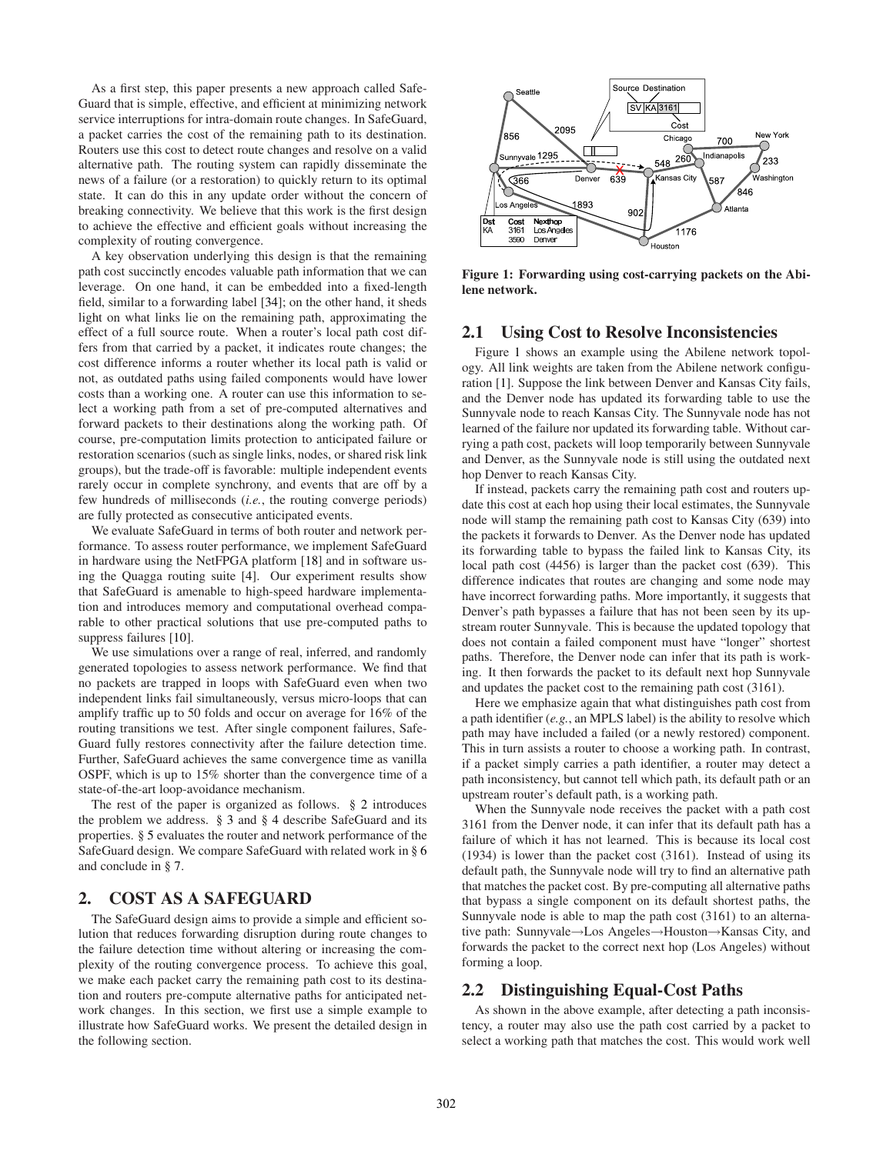As a first step, this paper presents a new approach called Safe-Guard that is simple, effective, and efficient at minimizing network service interruptions for intra-domain route changes. In SafeGuard, a packet carries the cost of the remaining path to its destination. Routers use this cost to detect route changes and resolve on a valid alternative path. The routing system can rapidly disseminate the news of a failure (or a restoration) to quickly return to its optimal state. It can do this in any update order without the concern of breaking connectivity. We believe that this work is the first design to achieve the effective and efficient goals without increasing the complexity of routing convergence.

A key observation underlying this design is that the remaining path cost succinctly encodes valuable path information that we can leverage. On one hand, it can be embedded into a fixed-length field, similar to a forwarding label [\[34\]](#page-11-16); on the other hand, it sheds light on what links lie on the remaining path, approximating the effect of a full source route. When a router's local path cost differs from that carried by a packet, it indicates route changes; the cost difference informs a router whether its local path is valid or not, as outdated paths using failed components would have lower costs than a working one. A router can use this information to select a working path from a set of pre-computed alternatives and forward packets to their destinations along the working path. Of course, pre-computation limits protection to anticipated failure or restoration scenarios (such as single links, nodes, or shared risk link groups), but the trade-off is favorable: multiple independent events rarely occur in complete synchrony, and events that are off by a few hundreds of milliseconds (*i.e.*, the routing converge periods) are fully protected as consecutive anticipated events.

We evaluate SafeGuard in terms of both router and network performance. To assess router performance, we implement SafeGuard in hardware using the NetFPGA platform [\[18](#page-11-17)] and in software using the Quagga routing suite [\[4](#page-10-1)]. Our experiment results show that SafeGuard is amenable to high-speed hardware implementation and introduces memory and computational overhead comparable to other practical solutions that use pre-computed paths to suppress failures [\[10\]](#page-11-18).

We use simulations over a range of real, inferred, and randomly generated topologies to assess network performance. We find that no packets are trapped in loops with SafeGuard even when two independent links fail simultaneously, versus micro-loops that can amplify traffic up to 50 folds and occur on average for 16% of the routing transitions we test. After single component failures, Safe-Guard fully restores connectivity after the failure detection time. Further, SafeGuard achieves the same convergence time as vanilla OSPF, which is up to 15% shorter than the convergence time of a state-of-the-art loop-avoidance mechanism.

The rest of the paper is organized as follows. § [2](#page-1-0) introduces the problem we address. § [3](#page-2-0) and § [4](#page-4-0) describe SafeGuard and its properties. § [5](#page-5-0) evaluates the router and network performance of the SafeGuard design. We compare SafeGuard with related work in § [6](#page-9-0) and conclude in § [7.](#page-10-2)

# <span id="page-1-0"></span>2. COST AS A SAFEGUARD

The SafeGuard design aims to provide a simple and efficient solution that reduces forwarding disruption during route changes to the failure detection time without altering or increasing the complexity of the routing convergence process. To achieve this goal, we make each packet carry the remaining path cost to its destination and routers pre-compute alternative paths for anticipated network changes. In this section, we first use a simple example to illustrate how SafeGuard works. We present the detailed design in the following section.



<span id="page-1-1"></span>Figure 1: Forwarding using cost-carrying packets on the Abilene network.

### 2.1 Using Cost to Resolve Inconsistencies

Figure [1](#page-1-1) shows an example using the Abilene network topology. All link weights are taken from the Abilene network configuration [\[1](#page-10-3)]. Suppose the link between Denver and Kansas City fails, and the Denver node has updated its forwarding table to use the Sunnyvale node to reach Kansas City. The Sunnyvale node has not learned of the failure nor updated its forwarding table. Without carrying a path cost, packets will loop temporarily between Sunnyvale and Denver, as the Sunnyvale node is still using the outdated next hop Denver to reach Kansas City.

If instead, packets carry the remaining path cost and routers update this cost at each hop using their local estimates, the Sunnyvale node will stamp the remaining path cost to Kansas City (639) into the packets it forwards to Denver. As the Denver node has updated its forwarding table to bypass the failed link to Kansas City, its local path cost (4456) is larger than the packet cost (639). This difference indicates that routes are changing and some node may have incorrect forwarding paths. More importantly, it suggests that Denver's path bypasses a failure that has not been seen by its upstream router Sunnyvale. This is because the updated topology that does not contain a failed component must have "longer" shortest paths. Therefore, the Denver node can infer that its path is working. It then forwards the packet to its default next hop Sunnyvale and updates the packet cost to the remaining path cost (3161).

Here we emphasize again that what distinguishes path cost from a path identifier (*e.g.*, an MPLS label) is the ability to resolve which path may have included a failed (or a newly restored) component. This in turn assists a router to choose a working path. In contrast, if a packet simply carries a path identifier, a router may detect a path inconsistency, but cannot tell which path, its default path or an upstream router's default path, is a working path.

When the Sunnyvale node receives the packet with a path cost 3161 from the Denver node, it can infer that its default path has a failure of which it has not learned. This is because its local cost (1934) is lower than the packet cost (3161). Instead of using its default path, the Sunnyvale node will try to find an alternative path that matches the packet cost. By pre-computing all alternative paths that bypass a single component on its default shortest paths, the Sunnyvale node is able to map the path cost (3161) to an alternative path: Sunnyvale→Los Angeles→Houston→Kansas City, and forwards the packet to the correct next hop (Los Angeles) without forming a loop.

### 2.2 Distinguishing Equal-Cost Paths

As shown in the above example, after detecting a path inconsistency, a router may also use the path cost carried by a packet to select a working path that matches the cost. This would work well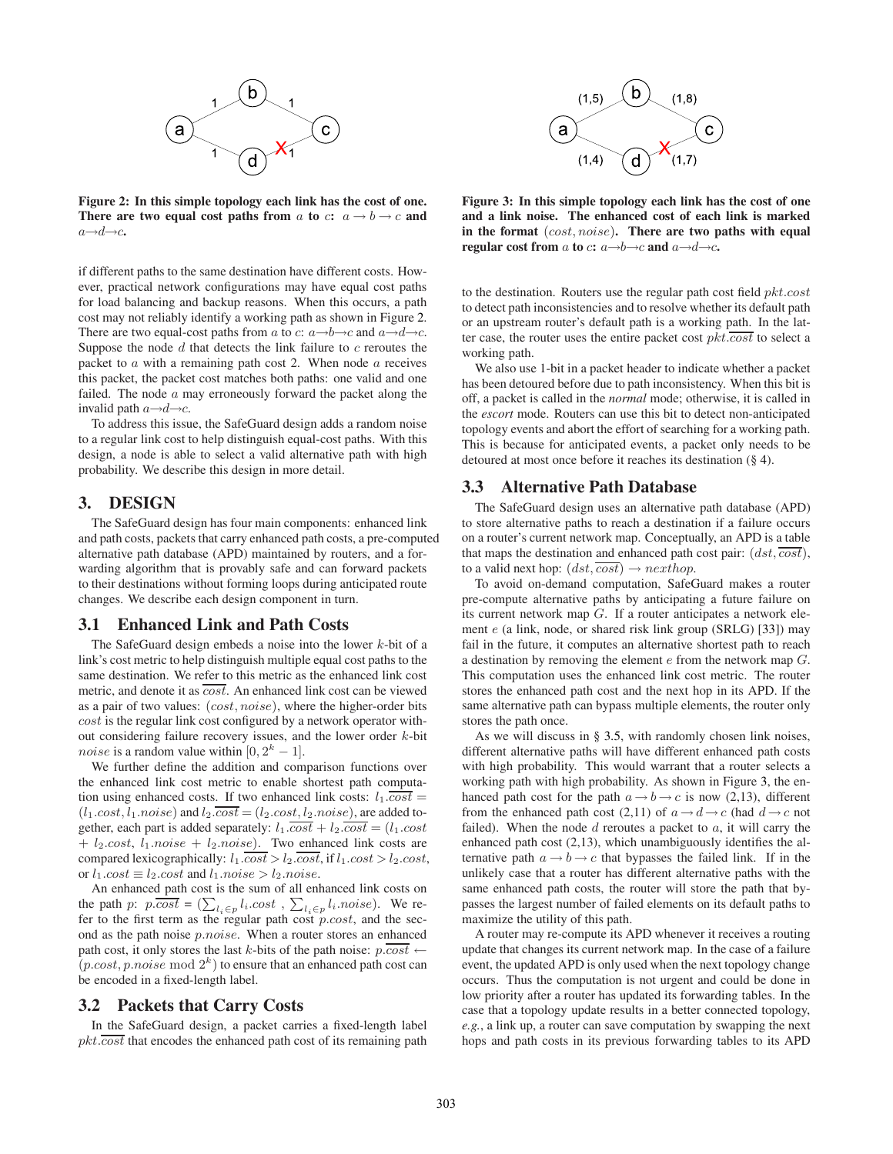

<span id="page-2-1"></span>Figure 2: In this simple topology each link has the cost of one. There are two equal cost paths from a to c:  $a \rightarrow b \rightarrow c$  and  $a \rightarrow d \rightarrow c$ .

if different paths to the same destination have different costs. However, practical network configurations may have equal cost paths for load balancing and backup reasons. When this occurs, a path cost may not reliably identify a working path as shown in Figure [2.](#page-2-1) There are two equal-cost paths from a to c:  $a \rightarrow b \rightarrow c$  and  $a \rightarrow d \rightarrow c$ . Suppose the node  $d$  that detects the link failure to  $c$  reroutes the packet to  $a$  with a remaining path cost 2. When node  $a$  receives this packet, the packet cost matches both paths: one valid and one failed. The node  $a$  may erroneously forward the packet along the invalid path  $a \rightarrow d \rightarrow c$ .

To address this issue, the SafeGuard design adds a random noise to a regular link cost to help distinguish equal-cost paths. With this design, a node is able to select a valid alternative path with high probability. We describe this design in more detail.

# <span id="page-2-0"></span>3. DESIGN

The SafeGuard design has four main components: enhanced link and path costs, packets that carry enhanced path costs, a pre-computed alternative path database (APD) maintained by routers, and a forwarding algorithm that is provably safe and can forward packets to their destinations without forming loops during anticipated route changes. We describe each design component in turn.

# <span id="page-2-3"></span>3.1 Enhanced Link and Path Costs

The SafeGuard design embeds a noise into the lower  $k$ -bit of a link's cost metric to help distinguish multiple equal cost paths to the same destination. We refer to this metric as the enhanced link cost metric, and denote it as  $\overline{cost}$ . An enhanced link cost can be viewed as a pair of two values:  $(cost, noise)$ , where the higher-order bits cost is the regular link cost configured by a network operator without considering failure recovery issues, and the lower order  $k$ -bit *noise* is a random value within  $[0, 2<sup>k</sup> - 1]$ .

We further define the addition and comparison functions over the enhanced link cost metric to enable shortest path computation using enhanced costs. If two enhanced link costs:  $l_1 \cdot \overline{cost} =$  $(l_1.cost, l_1.noise)$  and  $l_2.\overline{cost} = (l_2.cost, l_2.noise)$ , are added together, each part is added separately:  $l_1 \overline{cost} + l_2 \overline{cost} = (l_1 \overline{cost}$  $+ l_2 \text{.} cost, l_1 \text{.} noise + l_2 \text{.} noise$ ). Two enhanced link costs are compared lexicographically:  $l_1 \cdot \overline{cost} > l_2 \cdot \overline{cost}$ , if  $l_1 \cdot cost > l_2 \cdot cost$ , or  $l_1.cost \equiv l_2.cost$  and  $l_1.noise > l_2.noise$ .

An enhanced path cost is the sum of all enhanced link costs on the path p:  $p\cdot \cos t = (\sum_{l_i \in p} l_i \cdot \cos t, \sum_{l_i \in p} l_i \cdot \cos t)$ . We refer to the first term as the regular path cost  $p.cost$ , and the second as the path noise p.noise. When a router stores an enhanced path cost, it only stores the last k-bits of the path noise:  $p \cdot \overline{cost}$  ←  $(p.cost, p.noise \mod 2^k)$  to ensure that an enhanced path cost can be encoded in a fixed-length label.

### 3.2 Packets that Carry Costs

In the SafeGuard design, a packet carries a fixed-length label  $pkt.\overline{cost}$  that encodes the enhanced path cost of its remaining path



<span id="page-2-2"></span>Figure 3: In this simple topology each link has the cost of one and a link noise. The enhanced cost of each link is marked in the format (cost, noise). There are two paths with equal regular cost from a to c:  $a \rightarrow b \rightarrow c$  and  $a \rightarrow d \rightarrow c$ .

to the destination. Routers use the regular path cost field  $pkt.cost$ to detect path inconsistencies and to resolve whether its default path or an upstream router's default path is a working path. In the latter case, the router uses the entire packet cost  $pkt.\overline{cost}$  to select a working path.

We also use 1-bit in a packet header to indicate whether a packet has been detoured before due to path inconsistency. When this bit is off, a packet is called in the *normal* mode; otherwise, it is called in the *escort* mode. Routers can use this bit to detect non-anticipated topology events and abort the effort of searching for a working path. This is because for anticipated events, a packet only needs to be detoured at most once before it reaches its destination (§ [4\)](#page-4-0).

# <span id="page-2-4"></span>3.3 Alternative Path Database

The SafeGuard design uses an alternative path database (APD) to store alternative paths to reach a destination if a failure occurs on a router's current network map. Conceptually, an APD is a table that maps the destination and enhanced path cost pair:  $(dst, \overline{cost})$ , to a valid next hop:  $(dst, \overline{cost}) \rightarrow nexthop$ .

To avoid on-demand computation, SafeGuard makes a router pre-compute alternative paths by anticipating a future failure on its current network map G. If a router anticipates a network element e (a link, node, or shared risk link group (SRLG) [\[33\]](#page-11-19)) may fail in the future, it computes an alternative shortest path to reach a destination by removing the element e from the network map G. This computation uses the enhanced link cost metric. The router stores the enhanced path cost and the next hop in its APD. If the same alternative path can bypass multiple elements, the router only stores the path once.

As we will discuss in § [3.5,](#page-4-1) with randomly chosen link noises, different alternative paths will have different enhanced path costs with high probability. This would warrant that a router selects a working path with high probability. As shown in Figure [3,](#page-2-2) the enhanced path cost for the path  $a \rightarrow b \rightarrow c$  is now (2,13), different from the enhanced path cost (2,11) of  $a \rightarrow d \rightarrow c$  (had  $d \rightarrow c$  not failed). When the node  $d$  reroutes a packet to  $a$ , it will carry the enhanced path cost (2,13), which unambiguously identifies the alternative path  $a \rightarrow b \rightarrow c$  that bypasses the failed link. If in the unlikely case that a router has different alternative paths with the same enhanced path costs, the router will store the path that bypasses the largest number of failed elements on its default paths to maximize the utility of this path.

A router may re-compute its APD whenever it receives a routing update that changes its current network map. In the case of a failure event, the updated APD is only used when the next topology change occurs. Thus the computation is not urgent and could be done in low priority after a router has updated its forwarding tables. In the case that a topology update results in a better connected topology, *e.g.*, a link up, a router can save computation by swapping the next hops and path costs in its previous forwarding tables to its APD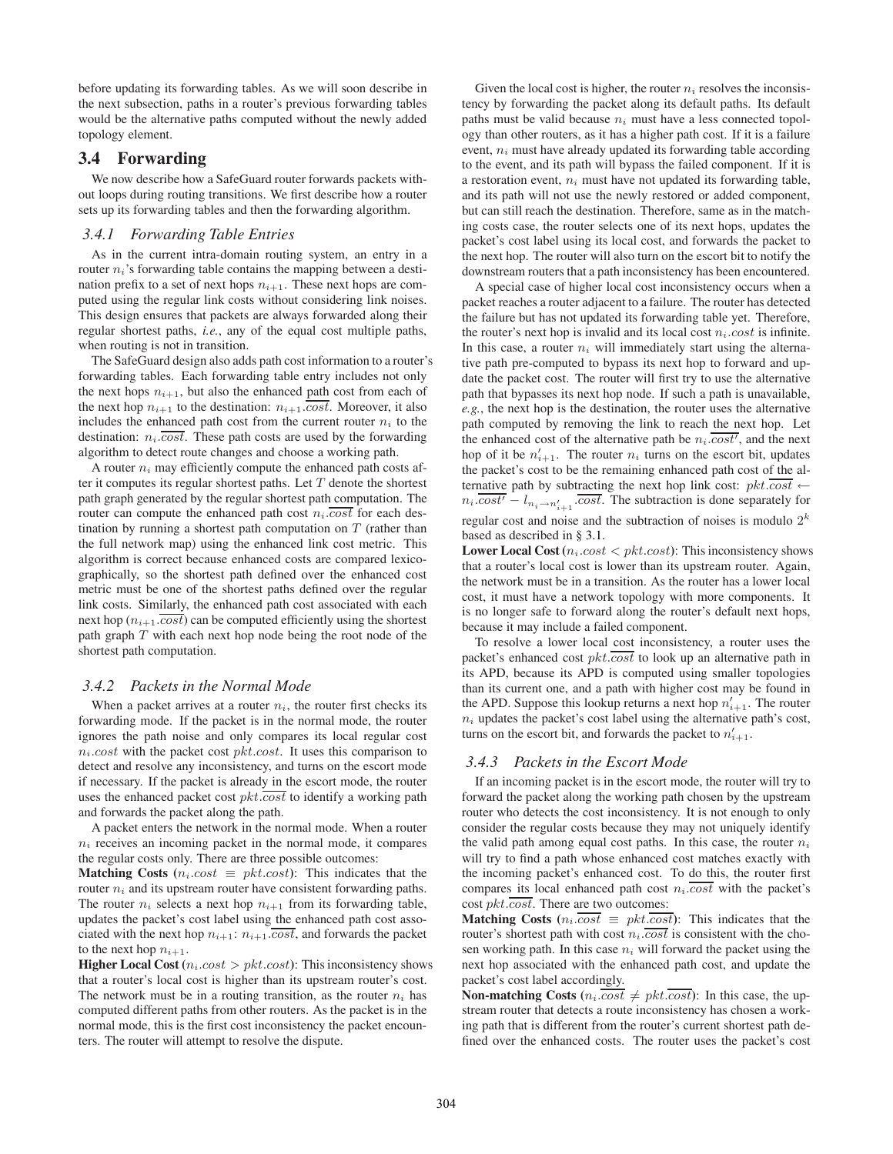before updating its forwarding tables. As we will soon describe in the next subsection, paths in a router's previous forwarding tables would be the alternative paths computed without the newly added topology element.

# <span id="page-3-1"></span>3.4 Forwarding

We now describe how a SafeGuard router forwards packets without loops during routing transitions. We first describe how a router sets up its forwarding tables and then the forwarding algorithm.

#### <span id="page-3-0"></span>*3.4.1 Forwarding Table Entries*

As in the current intra-domain routing system, an entry in a router  $n_i$ 's forwarding table contains the mapping between a destination prefix to a set of next hops  $n_{i+1}$ . These next hops are computed using the regular link costs without considering link noises. This design ensures that packets are always forwarded along their regular shortest paths, *i.e.*, any of the equal cost multiple paths, when routing is not in transition.

The SafeGuard design also adds path cost information to a router's forwarding tables. Each forwarding table entry includes not only the next hops  $n_{i+1}$ , but also the enhanced path cost from each of the next hop  $n_{i+1}$  to the destination:  $n_{i+1}$ .  $\overline{cost}$ . Moreover, it also includes the enhanced path cost from the current router  $n_i$  to the destination:  $n_i \overline{cost}$ . These path costs are used by the forwarding algorithm to detect route changes and choose a working path.

A router  $n_i$  may efficiently compute the enhanced path costs after it computes its regular shortest paths. Let  $T$  denote the shortest path graph generated by the regular shortest path computation. The router can compute the enhanced path cost  $n_i$ .  $\overline{cost}$  for each destination by running a shortest path computation on  $T$  (rather than the full network map) using the enhanced link cost metric. This algorithm is correct because enhanced costs are compared lexicographically, so the shortest path defined over the enhanced cost metric must be one of the shortest paths defined over the regular link costs. Similarly, the enhanced path cost associated with each next hop  $(n_{i+1}.\overline{cost})$  can be computed efficiently using the shortest path graph  $T$  with each next hop node being the root node of the shortest path computation.

#### *3.4.2 Packets in the Normal Mode*

When a packet arrives at a router  $n_i$ , the router first checks its forwarding mode. If the packet is in the normal mode, the router ignores the path noise and only compares its local regular cost  $n_i. cost$  with the packet cost  $plt. cost$ . It uses this comparison to detect and resolve any inconsistency, and turns on the escort mode if necessary. If the packet is already in the escort mode, the router uses the enhanced packet cost  $pkt \cdot cost$  to identify a working path and forwards the packet along the path.

A packet enters the network in the normal mode. When a router  $n_i$  receives an incoming packet in the normal mode, it compares the regular costs only. There are three possible outcomes:

Matching Costs ( $n_i \text{.} cost \equiv \text{.} x \neq \text{.} x$ ): This indicates that the router  $n_i$  and its upstream router have consistent forwarding paths. The router  $n_i$  selects a next hop  $n_{i+1}$  from its forwarding table, updates the packet's cost label using the enhanced path cost associated with the next hop  $n_{i+1}: n_{i+1}.\overline{cost}$ , and forwards the packet to the next hop  $n_{i+1}$ .

**Higher Local Cost** ( $n_i.cost > pkt.cost$ ): This inconsistency shows that a router's local cost is higher than its upstream router's cost. The network must be in a routing transition, as the router  $n_i$  has computed different paths from other routers. As the packet is in the normal mode, this is the first cost inconsistency the packet encounters. The router will attempt to resolve the dispute.

Given the local cost is higher, the router  $n_i$  resolves the inconsistency by forwarding the packet along its default paths. Its default paths must be valid because  $n_i$  must have a less connected topology than other routers, as it has a higher path cost. If it is a failure event,  $n_i$  must have already updated its forwarding table according to the event, and its path will bypass the failed component. If it is a restoration event,  $n_i$  must have not updated its forwarding table, and its path will not use the newly restored or added component, but can still reach the destination. Therefore, same as in the matching costs case, the router selects one of its next hops, updates the packet's cost label using its local cost, and forwards the packet to the next hop. The router will also turn on the escort bit to notify the downstream routers that a path inconsistency has been encountered.

A special case of higher local cost inconsistency occurs when a packet reaches a router adjacent to a failure. The router has detected the failure but has not updated its forwarding table yet. Therefore, the router's next hop is invalid and its local cost  $n_i \text{ } cost$  is infinite. In this case, a router  $n_i$  will immediately start using the alternative path pre-computed to bypass its next hop to forward and update the packet cost. The router will first try to use the alternative path that bypasses its next hop node. If such a path is unavailable, *e.g.*, the next hop is the destination, the router uses the alternative path computed by removing the link to reach the next hop. Let the enhanced cost of the alternative path be  $n_i$ .  $cost'$ , and the next hop of it be  $n'_{i+1}$ . The router  $n_i$  turns on the escort bit, updates the packet's cost to be the remaining enhanced path cost of the alternative path by subtracting the next hop link cost:  $pkt.\overline{cost} \leftarrow$  $n_i \cdot \overline{cost'} - l_{n_i \to n'_{i+1}} \cdot \overline{cost}$ . The subtraction is done separately for regular cost and noise and the subtraction of noises is modulo  $2^k$ based as described in § [3.1.](#page-2-3)

**Lower Local Cost** ( $n_i.cost < pkt.cost$ ): This inconsistency shows that a router's local cost is lower than its upstream router. Again, the network must be in a transition. As the router has a lower local cost, it must have a network topology with more components. It is no longer safe to forward along the router's default next hops, because it may include a failed component.

To resolve a lower local cost inconsistency, a router uses the packet's enhanced cost  $pkt \cdot \overline{cost}$  to look up an alternative path in its APD, because its APD is computed using smaller topologies than its current one, and a path with higher cost may be found in the APD. Suppose this lookup returns a next hop  $n'_{i+1}$ . The router  $n_i$  updates the packet's cost label using the alternative path's cost, turns on the escort bit, and forwards the packet to  $n'_{i+1}$ .

#### *3.4.3 Packets in the Escort Mode*

If an incoming packet is in the escort mode, the router will try to forward the packet along the working path chosen by the upstream router who detects the cost inconsistency. It is not enough to only consider the regular costs because they may not uniquely identify the valid path among equal cost paths. In this case, the router  $n_i$ will try to find a path whose enhanced cost matches exactly with the incoming packet's enhanced cost. To do this, the router first compares its local enhanced path cost  $n_i \overline{cost}$  with the packet's cost  $pkt.\overline{cost}$ . There are two outcomes:

**Matching Costs** ( $n_i \cdot \overline{cost} \equiv pkt \cdot \overline{cost}$ ): This indicates that the router's shortest path with cost  $n_i$ .  $\overline{cost}$  is consistent with the chosen working path. In this case  $n_i$  will forward the packet using the next hop associated with the enhanced path cost, and update the packet's cost label accordingly.

**Non-matching Costs** ( $n_i \cdot \overline{cost} \neq \overline{pkt} \cdot \overline{cost}$ ): In this case, the upstream router that detects a route inconsistency has chosen a working path that is different from the router's current shortest path defined over the enhanced costs. The router uses the packet's cost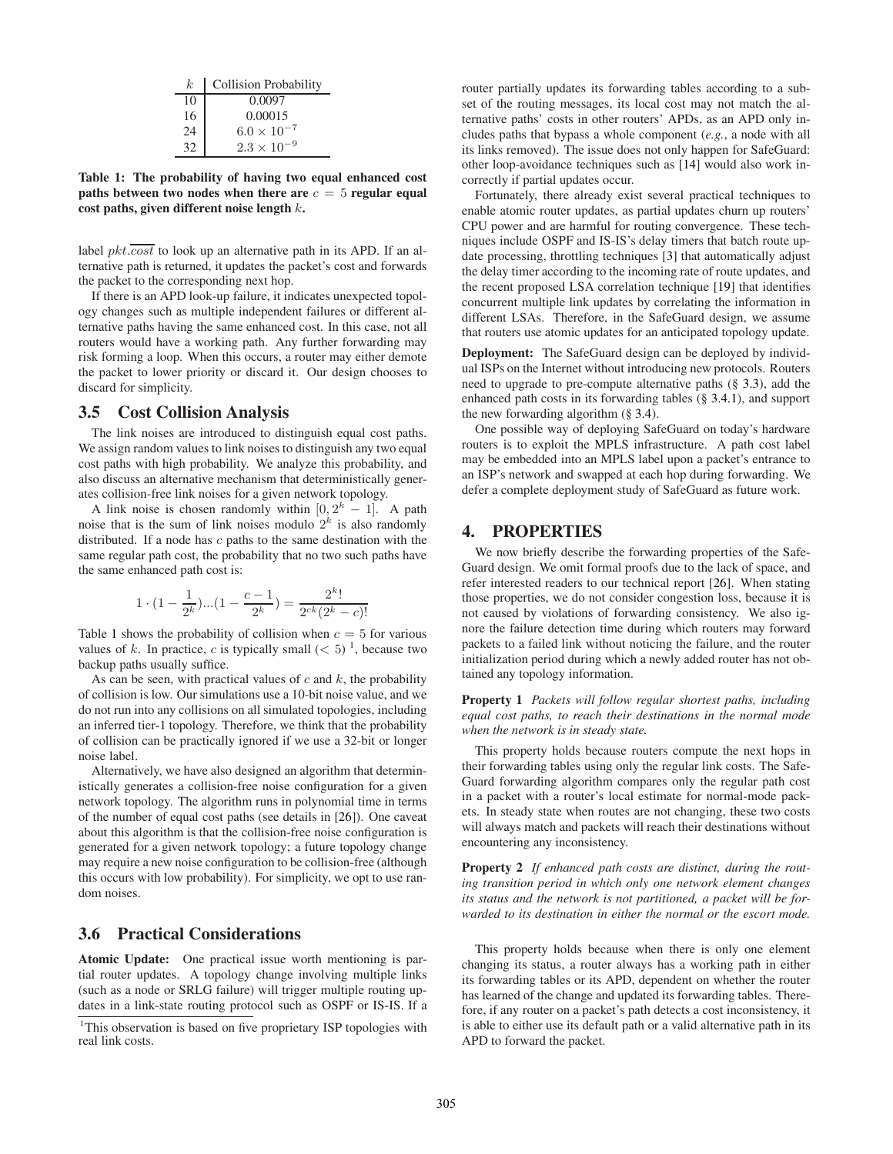| k.              | <b>Collision Probability</b> |  |  |  |  |  |
|-----------------|------------------------------|--|--|--|--|--|
| 10              | 0.0097                       |  |  |  |  |  |
| 16              | 0.00015                      |  |  |  |  |  |
| $\overline{24}$ | $6.0 \times 10^{-7}$         |  |  |  |  |  |
| 32              | $2.3\times10$                |  |  |  |  |  |

<span id="page-4-2"></span>Table 1: The probability of having two equal enhanced cost paths between two nodes when there are  $c = 5$  regular equal cost paths, given different noise length  $k$ .

label  $pkt.\overline{cost}$  to look up an alternative path in its APD. If an alternative path is returned, it updates the packet's cost and forwards the packet to the corresponding next hop.

If there is an APD look-up failure, it indicates unexpected topology changes such as multiple independent failures or different alternative paths having the same enhanced cost. In this case, not all routers would have a working path. Any further forwarding may risk forming a loop. When this occurs, a router may either demote the packet to lower priority or discard it. Our design chooses to discard for simplicity.

### <span id="page-4-1"></span>3.5 Cost Collision Analysis

The link noises are introduced to distinguish equal cost paths. We assign random values to link noises to distinguish any two equal cost paths with high probability. We analyze this probability, and also discuss an alternative mechanism that deterministically generates collision-free link noises for a given network topology.

A link noise is chosen randomly within  $[0, 2<sup>k</sup> - 1]$ . A path noise that is the sum of link noises modulo  $2^k$  is also randomly distributed. If a node has  $c$  paths to the same destination with the same regular path cost, the probability that no two such paths have the same enhanced path cost is:

$$
1 \cdot (1 - \frac{1}{2^k}) \dots (1 - \frac{c-1}{2^k}) = \frac{2^k!}{2^{ck}(2^k - c)!}
$$

Table [1](#page-4-2) shows the probability of collision when  $c = 5$  for various values of k. In practice, c is typically small  $(< 5)^1$  $(< 5)^1$ , because two backup paths usually suffice.

As can be seen, with practical values of  $c$  and  $k$ , the probability of collision is low. Our simulations use a 10-bit noise value, and we do not run into any collisions on all simulated topologies, including an inferred tier-1 topology. Therefore, we think that the probability of collision can be practically ignored if we use a 32-bit or longer noise label.

Alternatively, we have also designed an algorithm that deterministically generates a collision-free noise configuration for a given network topology. The algorithm runs in polynomial time in terms of the number of equal cost paths (see details in [\[26](#page-11-20)]). One caveat about this algorithm is that the collision-free noise configuration is generated for a given network topology; a future topology change may require a new noise configuration to be collision-free (although this occurs with low probability). For simplicity, we opt to use random noises.

# 3.6 Practical Considerations

Atomic Update: One practical issue worth mentioning is partial router updates. A topology change involving multiple links (such as a node or SRLG failure) will trigger multiple routing updates in a link-state routing protocol such as OSPF or IS-IS. If a router partially updates its forwarding tables according to a subset of the routing messages, its local cost may not match the alternative paths' costs in other routers' APDs, as an APD only includes paths that bypass a whole component (*e.g.*, a node with all its links removed). The issue does not only happen for SafeGuard: other loop-avoidance techniques such as [\[14](#page-11-6)] would also work incorrectly if partial updates occur.

Fortunately, there already exist several practical techniques to enable atomic router updates, as partial updates churn up routers' CPU power and are harmful for routing convergence. These techniques include OSPF and IS-IS's delay timers that batch route update processing, throttling techniques [\[3\]](#page-10-4) that automatically adjust the delay timer according to the incoming rate of route updates, and the recent proposed LSA correlation technique [\[19](#page-11-21)] that identifies concurrent multiple link updates by correlating the information in different LSAs. Therefore, in the SafeGuard design, we assume that routers use atomic updates for an anticipated topology update.

Deployment: The SafeGuard design can be deployed by individual ISPs on the Internet without introducing new protocols. Routers need to upgrade to pre-compute alternative paths (§ [3.3\)](#page-2-4), add the enhanced path costs in its forwarding tables (§ [3.4.1\)](#page-3-0), and support the new forwarding algorithm (§ [3.4\)](#page-3-1).

One possible way of deploying SafeGuard on today's hardware routers is to exploit the MPLS infrastructure. A path cost label may be embedded into an MPLS label upon a packet's entrance to an ISP's network and swapped at each hop during forwarding. We defer a complete deployment study of SafeGuard as future work.

### <span id="page-4-0"></span>4. PROPERTIES

We now briefly describe the forwarding properties of the Safe-Guard design. We omit formal proofs due to the lack of space, and refer interested readers to our technical report [\[26](#page-11-20)]. When stating those properties, we do not consider congestion loss, because it is not caused by violations of forwarding consistency. We also ignore the failure detection time during which routers may forward packets to a failed link without noticing the failure, and the router initialization period during which a newly added router has not obtained any topology information.

Property 1 *Packets will follow regular shortest paths, including equal cost paths, to reach their destinations in the normal mode when the network is in steady state.*

This property holds because routers compute the next hops in their forwarding tables using only the regular link costs. The Safe-Guard forwarding algorithm compares only the regular path cost in a packet with a router's local estimate for normal-mode packets. In steady state when routes are not changing, these two costs will always match and packets will reach their destinations without encountering any inconsistency.

Property 2 *If enhanced path costs are distinct, during the routing transition period in which only one network element changes its status and the network is not partitioned, a packet will be forwarded to its destination in either the normal or the escort mode.*

This property holds because when there is only one element changing its status, a router always has a working path in either its forwarding tables or its APD, dependent on whether the router has learned of the change and updated its forwarding tables. Therefore, if any router on a packet's path detects a cost inconsistency, it is able to either use its default path or a valid alternative path in its APD to forward the packet.

<span id="page-4-3"></span><sup>&</sup>lt;sup>1</sup>This observation is based on five proprietary ISP topologies with real link costs.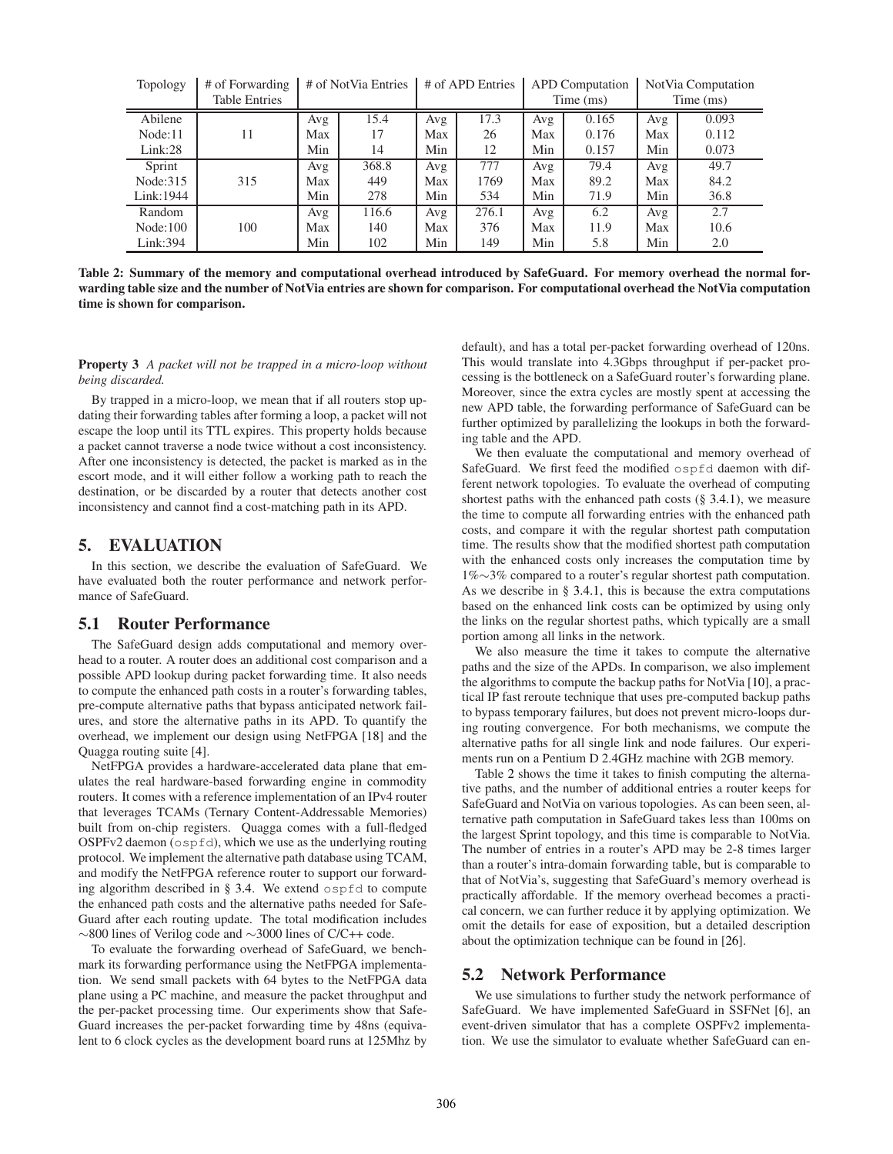| Topology   | # of Forwarding      | # of NotVia Entries |       | # of APD Entries |       | <b>APD</b> Computation |       | Not Via Computation |       |
|------------|----------------------|---------------------|-------|------------------|-------|------------------------|-------|---------------------|-------|
|            | <b>Table Entries</b> |                     |       |                  |       | Time (ms)              |       | Time (ms)           |       |
| Abilene    |                      | Avg                 | 15.4  | Avg              | 17.3  | Avg                    | 0.165 | Avg                 | 0.093 |
| Node:11    | 11                   | Max                 | 17    | Max              | 26    | Max                    | 0.176 | Max                 | 0.112 |
| Link:28    |                      | Min                 | 14    | Min              | 12    | Min                    | 0.157 | Min                 | 0.073 |
| Sprint     |                      | Avg                 | 368.8 | Avg              | 777   | Avg                    | 79.4  | Avg                 | 49.7  |
| Node: 315  | 315                  | Max                 | 449   | Max              | 1769  | Max                    | 89.2  | Max                 | 84.2  |
| Link: 1944 |                      | Min                 | 278   | Min              | 534   | Min                    | 71.9  | Min                 | 36.8  |
| Random     |                      | Avg                 | 116.6 | Avg              | 276.1 | Avg                    | 6.2   | Avg                 | 2.7   |
| Node:100   | 100                  | Max                 | 140   | Max              | 376   | Max                    | 11.9  | Max                 | 10.6  |
| Link: 394  |                      | Min                 | 102   | Min              | 149   | Min                    | 5.8   | Min                 | 2.0   |

<span id="page-5-1"></span>Table 2: Summary of the memory and computational overhead introduced by SafeGuard. For memory overhead the normal forwarding table size and the number of NotVia entries are shown for comparison. For computational overhead the NotVia computation time is shown for comparison.

Property 3 *A packet will not be trapped in a micro-loop without being discarded.*

By trapped in a micro-loop, we mean that if all routers stop updating their forwarding tables after forming a loop, a packet will not escape the loop until its TTL expires. This property holds because a packet cannot traverse a node twice without a cost inconsistency. After one inconsistency is detected, the packet is marked as in the escort mode, and it will either follow a working path to reach the destination, or be discarded by a router that detects another cost inconsistency and cannot find a cost-matching path in its APD.

# <span id="page-5-0"></span>5. EVALUATION

In this section, we describe the evaluation of SafeGuard. We have evaluated both the router performance and network performance of SafeGuard.

# 5.1 Router Performance

The SafeGuard design adds computational and memory overhead to a router. A router does an additional cost comparison and a possible APD lookup during packet forwarding time. It also needs to compute the enhanced path costs in a router's forwarding tables, pre-compute alternative paths that bypass anticipated network failures, and store the alternative paths in its APD. To quantify the overhead, we implement our design using NetFPGA [\[18](#page-11-17)] and the Quagga routing suite [\[4\]](#page-10-1).

NetFPGA provides a hardware-accelerated data plane that emulates the real hardware-based forwarding engine in commodity routers. It comes with a reference implementation of an IPv4 router that leverages TCAMs (Ternary Content-Addressable Memories) built from on-chip registers. Quagga comes with a full-fledged OSPFv2 daemon (ospfd), which we use as the underlying routing protocol. We implement the alternative path database using TCAM, and modify the NetFPGA reference router to support our forwarding algorithm described in  $\S$  [3.4.](#page-3-1) We extend ospfd to compute the enhanced path costs and the alternative paths needed for Safe-Guard after each routing update. The total modification includes ∼800 lines of Verilog code and ∼3000 lines of C/C++ code.

To evaluate the forwarding overhead of SafeGuard, we benchmark its forwarding performance using the NetFPGA implementation. We send small packets with 64 bytes to the NetFPGA data plane using a PC machine, and measure the packet throughput and the per-packet processing time. Our experiments show that Safe-Guard increases the per-packet forwarding time by 48ns (equivalent to 6 clock cycles as the development board runs at 125Mhz by default), and has a total per-packet forwarding overhead of 120ns. This would translate into 4.3Gbps throughput if per-packet processing is the bottleneck on a SafeGuard router's forwarding plane. Moreover, since the extra cycles are mostly spent at accessing the new APD table, the forwarding performance of SafeGuard can be further optimized by parallelizing the lookups in both the forwarding table and the APD.

We then evaluate the computational and memory overhead of SafeGuard. We first feed the modified ospfd daemon with different network topologies. To evaluate the overhead of computing shortest paths with the enhanced path costs  $(\S$  [3.4.1\)](#page-3-0), we measure the time to compute all forwarding entries with the enhanced path costs, and compare it with the regular shortest path computation time. The results show that the modified shortest path computation with the enhanced costs only increases the computation time by 1%∼3% compared to a router's regular shortest path computation. As we describe in § [3.4.1,](#page-3-0) this is because the extra computations based on the enhanced link costs can be optimized by using only the links on the regular shortest paths, which typically are a small portion among all links in the network.

We also measure the time it takes to compute the alternative paths and the size of the APDs. In comparison, we also implement the algorithms to compute the backup paths for NotVia [\[10\]](#page-11-18), a practical IP fast reroute technique that uses pre-computed backup paths to bypass temporary failures, but does not prevent micro-loops during routing convergence. For both mechanisms, we compute the alternative paths for all single link and node failures. Our experiments run on a Pentium D 2.4GHz machine with 2GB memory.

Table [2](#page-5-1) shows the time it takes to finish computing the alternative paths, and the number of additional entries a router keeps for SafeGuard and NotVia on various topologies. As can been seen, alternative path computation in SafeGuard takes less than 100ms on the largest Sprint topology, and this time is comparable to NotVia. The number of entries in a router's APD may be 2-8 times larger than a router's intra-domain forwarding table, but is comparable to that of NotVia's, suggesting that SafeGuard's memory overhead is practically affordable. If the memory overhead becomes a practical concern, we can further reduce it by applying optimization. We omit the details for ease of exposition, but a detailed description about the optimization technique can be found in [\[26\]](#page-11-20).

### 5.2 Network Performance

We use simulations to further study the network performance of SafeGuard. We have implemented SafeGuard in SSFNet [\[6\]](#page-10-5), an event-driven simulator that has a complete OSPFv2 implementation. We use the simulator to evaluate whether SafeGuard can en-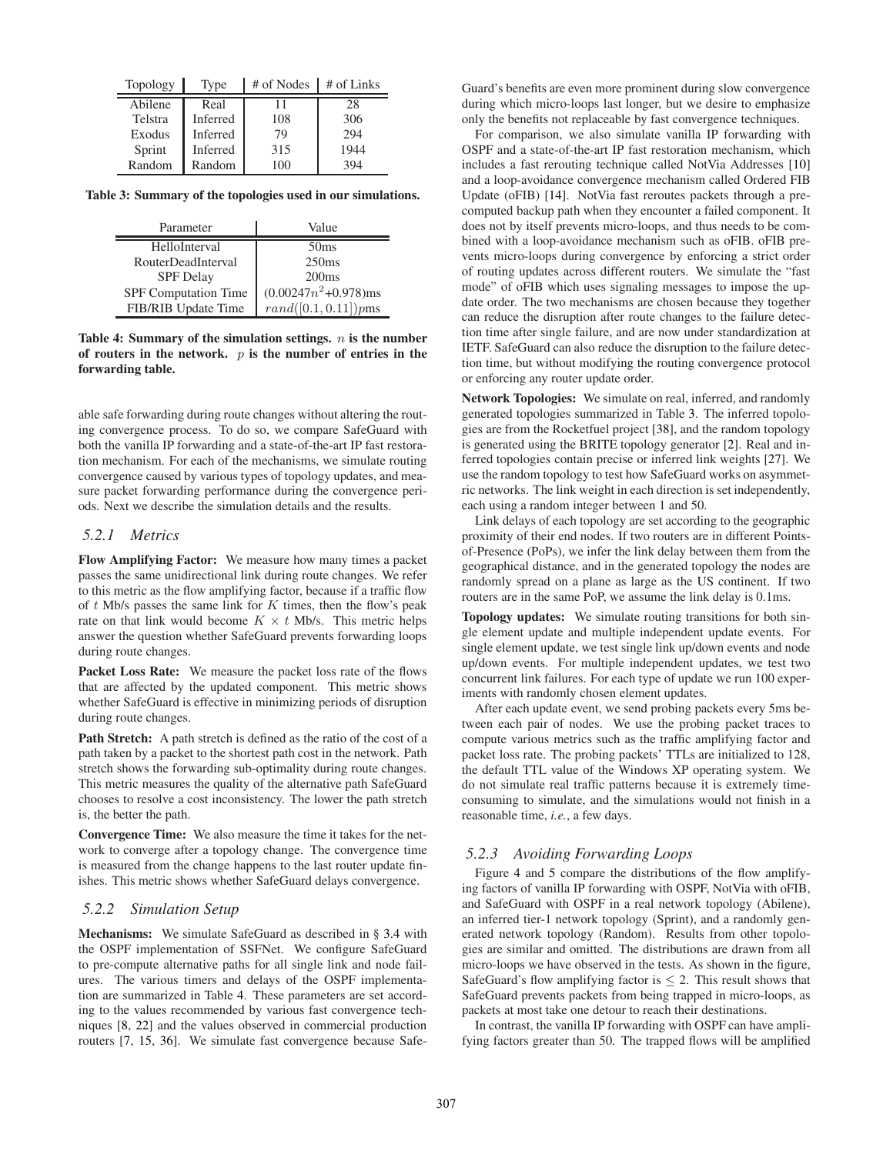| Topology | Type     | # of Nodes | # of Links |
|----------|----------|------------|------------|
| Abilene  | Real     | 11         | 28         |
| Telstra  | Inferred | 108        | 306        |
| Exodus   | Inferred | 79         | 294        |
| Sprint   | Inferred | 315        | 1944       |
| Random   | Random   | 100        | 394        |

<span id="page-6-1"></span>Table 3: Summary of the topologies used in our simulations.

| Parameter                 | Value                   |
|---------------------------|-------------------------|
| HelloInterval             | 50 <sub>ms</sub>        |
| <b>RouterDeadInterval</b> | 250ms                   |
| <b>SPF</b> Delay          | 200ms                   |
| SPF Computation Time      | $(0.00247n^2+0.978)$ ms |
| FIB/RIB Update Time       | $rand([0.1,0.11])pms$   |

#### <span id="page-6-0"></span>Table 4: Summary of the simulation settings.  $n$  is the number of routers in the network.  $p$  is the number of entries in the forwarding table.

able safe forwarding during route changes without altering the routing convergence process. To do so, we compare SafeGuard with both the vanilla IP forwarding and a state-of-the-art IP fast restoration mechanism. For each of the mechanisms, we simulate routing convergence caused by various types of topology updates, and measure packet forwarding performance during the convergence periods. Next we describe the simulation details and the results.

### *5.2.1 Metrics*

Flow Amplifying Factor: We measure how many times a packet passes the same unidirectional link during route changes. We refer to this metric as the flow amplifying factor, because if a traffic flow of  $t$  Mb/s passes the same link for  $K$  times, then the flow's peak rate on that link would become  $K \times t$  Mb/s. This metric helps answer the question whether SafeGuard prevents forwarding loops during route changes.

Packet Loss Rate: We measure the packet loss rate of the flows that are affected by the updated component. This metric shows whether SafeGuard is effective in minimizing periods of disruption during route changes.

Path Stretch: A path stretch is defined as the ratio of the cost of a path taken by a packet to the shortest path cost in the network. Path stretch shows the forwarding sub-optimality during route changes. This metric measures the quality of the alternative path SafeGuard chooses to resolve a cost inconsistency. The lower the path stretch is, the better the path.

Convergence Time: We also measure the time it takes for the network to converge after a topology change. The convergence time is measured from the change happens to the last router update finishes. This metric shows whether SafeGuard delays convergence.

#### *5.2.2 Simulation Setup*

Mechanisms: We simulate SafeGuard as described in § [3.4](#page-3-1) with the OSPF implementation of SSFNet. We configure SafeGuard to pre-compute alternative paths for all single link and node failures. The various timers and delays of the OSPF implementation are summarized in Table [4.](#page-6-0) These parameters are set according to the values recommended by various fast convergence techniques [\[8,](#page-11-4) [22\]](#page-11-22) and the values observed in commercial production routers [\[7](#page-11-23), [15](#page-11-7), [36\]](#page-11-24). We simulate fast convergence because SafeGuard's benefits are even more prominent during slow convergence during which micro-loops last longer, but we desire to emphasize only the benefits not replaceable by fast convergence techniques.

For comparison, we also simulate vanilla IP forwarding with OSPF and a state-of-the-art IP fast restoration mechanism, which includes a fast rerouting technique called NotVia Addresses [\[10\]](#page-11-18) and a loop-avoidance convergence mechanism called Ordered FIB Update (oFIB) [\[14](#page-11-6)]. NotVia fast reroutes packets through a precomputed backup path when they encounter a failed component. It does not by itself prevents micro-loops, and thus needs to be combined with a loop-avoidance mechanism such as oFIB. oFIB prevents micro-loops during convergence by enforcing a strict order of routing updates across different routers. We simulate the "fast mode" of oFIB which uses signaling messages to impose the update order. The two mechanisms are chosen because they together can reduce the disruption after route changes to the failure detection time after single failure, and are now under standardization at IETF. SafeGuard can also reduce the disruption to the failure detection time, but without modifying the routing convergence protocol or enforcing any router update order.

Network Topologies: We simulate on real, inferred, and randomly generated topologies summarized in Table [3.](#page-6-1) The inferred topologies are from the Rocketfuel project [\[38](#page-11-25)], and the random topology is generated using the BRITE topology generator [\[2\]](#page-10-6). Real and inferred topologies contain precise or inferred link weights [\[27\]](#page-11-26). We use the random topology to test how SafeGuard works on asymmetric networks. The link weight in each direction is set independently, each using a random integer between 1 and 50.

Link delays of each topology are set according to the geographic proximity of their end nodes. If two routers are in different Pointsof-Presence (PoPs), we infer the link delay between them from the geographical distance, and in the generated topology the nodes are randomly spread on a plane as large as the US continent. If two routers are in the same PoP, we assume the link delay is 0.1ms.

Topology updates: We simulate routing transitions for both single element update and multiple independent update events. For single element update, we test single link up/down events and node up/down events. For multiple independent updates, we test two concurrent link failures. For each type of update we run 100 experiments with randomly chosen element updates.

After each update event, we send probing packets every 5ms between each pair of nodes. We use the probing packet traces to compute various metrics such as the traffic amplifying factor and packet loss rate. The probing packets' TTLs are initialized to 128, the default TTL value of the Windows XP operating system. We do not simulate real traffic patterns because it is extremely timeconsuming to simulate, and the simulations would not finish in a reasonable time, *i.e.*, a few days.

### *5.2.3 Avoiding Forwarding Loops*

Figure [4](#page-7-0) and [5](#page-7-1) compare the distributions of the flow amplifying factors of vanilla IP forwarding with OSPF, NotVia with oFIB, and SafeGuard with OSPF in a real network topology (Abilene), an inferred tier-1 network topology (Sprint), and a randomly generated network topology (Random). Results from other topologies are similar and omitted. The distributions are drawn from all micro-loops we have observed in the tests. As shown in the figure, SafeGuard's flow amplifying factor is  $\leq 2$ . This result shows that SafeGuard prevents packets from being trapped in micro-loops, as packets at most take one detour to reach their destinations.

In contrast, the vanilla IP forwarding with OSPF can have amplifying factors greater than 50. The trapped flows will be amplified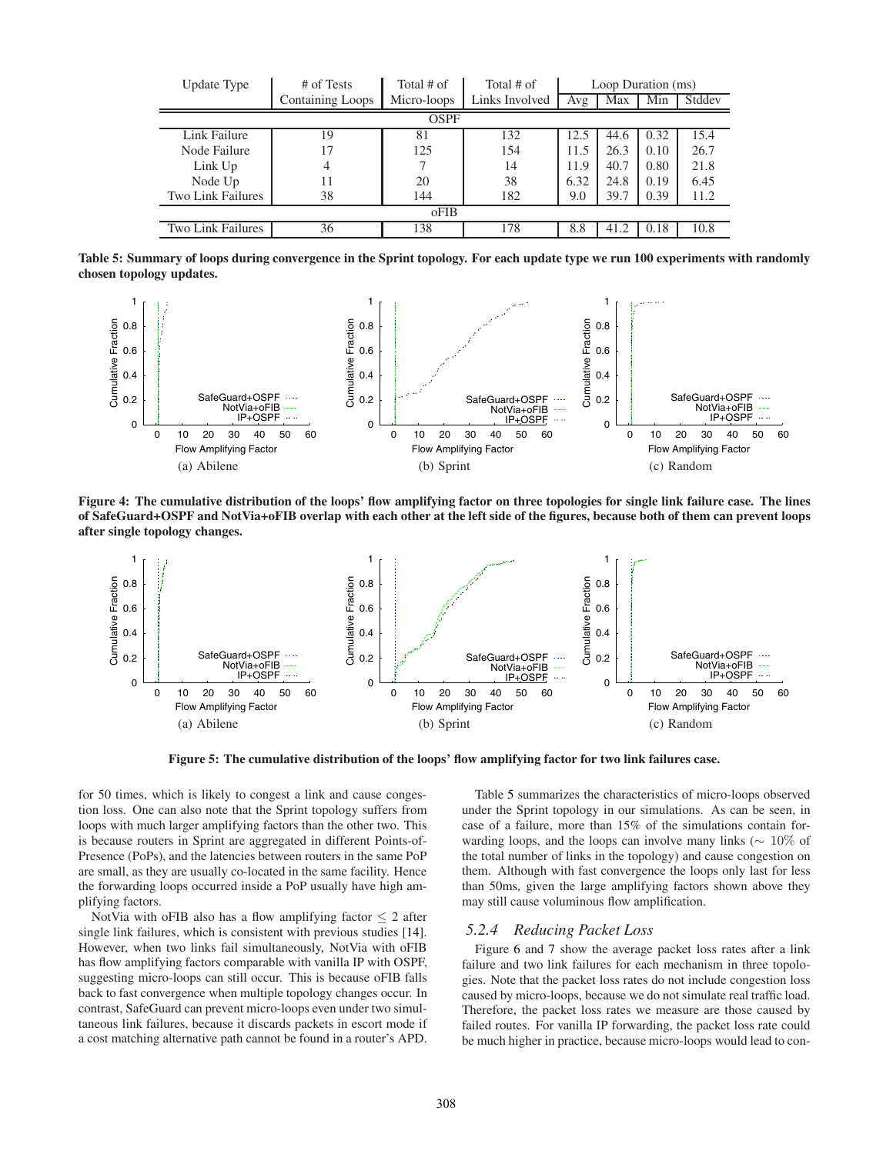| Update Type              | # of Tests              | Total $#$ of | Total # of     | Loop Duration (ms) |      |      |        |  |
|--------------------------|-------------------------|--------------|----------------|--------------------|------|------|--------|--|
|                          | <b>Containing Loops</b> | Micro-loops  | Links Involved | Avg                | Max  | Min  | Stddev |  |
| OSPF                     |                         |              |                |                    |      |      |        |  |
| Link Failure             | 19                      | 81           | 132            | 12.5               | 44.6 | 0.32 | 15.4   |  |
| Node Failure             | 17                      | 125          | 154            | 11.5               | 26.3 | 0.10 | 26.7   |  |
| Link Up                  | 4                       |              | 14             | 11.9               | 40.7 | 0.80 | 21.8   |  |
| Node Up                  | 11                      | 20           | 38             | 6.32               | 24.8 | 0.19 | 6.45   |  |
| <b>Two Link Failures</b> | 38                      | 144          | 182            | 9.0                | 39.7 | 0.39 | 11.2   |  |
| oFIB                     |                         |              |                |                    |      |      |        |  |
| Two Link Failures        | 36                      | 138          | 178            | 8.8                | 41.2 | 0.18 | 10.8   |  |

<span id="page-7-2"></span>Table 5: Summary of loops during convergence in the Sprint topology. For each update type we run 100 experiments with randomly chosen topology updates.



<span id="page-7-0"></span>Figure 4: The cumulative distribution of the loops' flow amplifying factor on three topologies for single link failure case. The lines of SafeGuard+OSPF and NotVia+oFIB overlap with each other at the left side of the figures, because both of them can prevent loops after single topology changes.



Figure 5: The cumulative distribution of the loops' flow amplifying factor for two link failures case.

<span id="page-7-1"></span>for 50 times, which is likely to congest a link and cause congestion loss. One can also note that the Sprint topology suffers from loops with much larger amplifying factors than the other two. This is because routers in Sprint are aggregated in different Points-of-Presence (PoPs), and the latencies between routers in the same PoP are small, as they are usually co-located in the same facility. Hence the forwarding loops occurred inside a PoP usually have high amplifying factors.

NotVia with oFIB also has a flow amplifying factor  $\leq 2$  after single link failures, which is consistent with previous studies [\[14\]](#page-11-6). However, when two links fail simultaneously, NotVia with oFIB has flow amplifying factors comparable with vanilla IP with OSPF, suggesting micro-loops can still occur. This is because oFIB falls back to fast convergence when multiple topology changes occur. In contrast, SafeGuard can prevent micro-loops even under two simultaneous link failures, because it discards packets in escort mode if a cost matching alternative path cannot be found in a router's APD.

Table [5](#page-7-2) summarizes the characteristics of micro-loops observed under the Sprint topology in our simulations. As can be seen, in case of a failure, more than 15% of the simulations contain forwarding loops, and the loops can involve many links (∼ 10% of the total number of links in the topology) and cause congestion on them. Although with fast convergence the loops only last for less than 50ms, given the large amplifying factors shown above they may still cause voluminous flow amplification.

### *5.2.4 Reducing Packet Loss*

Figure [6](#page-8-0) and [7](#page-8-1) show the average packet loss rates after a link failure and two link failures for each mechanism in three topologies. Note that the packet loss rates do not include congestion loss caused by micro-loops, because we do not simulate real traffic load. Therefore, the packet loss rates we measure are those caused by failed routes. For vanilla IP forwarding, the packet loss rate could be much higher in practice, because micro-loops would lead to con-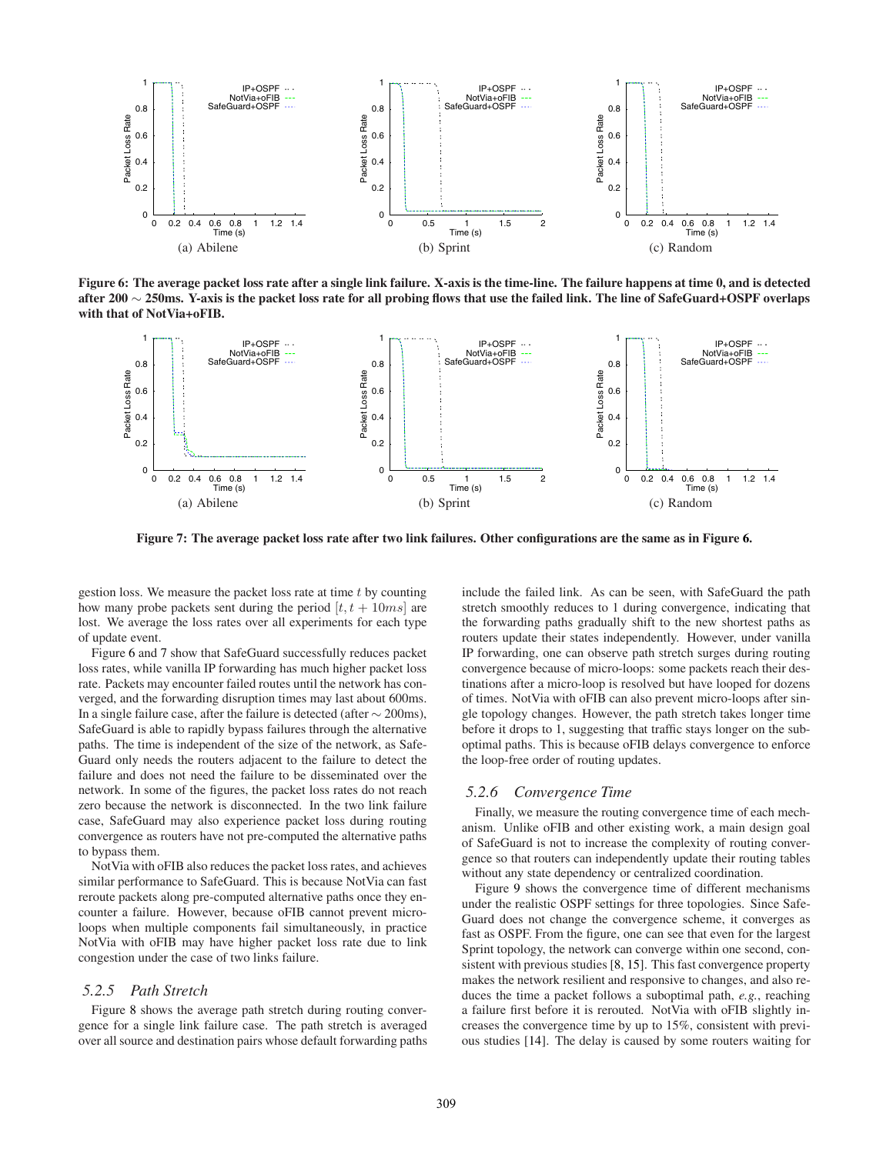

<span id="page-8-0"></span>Figure 6: The average packet loss rate after a single link failure. X-axis is the time-line. The failure happens at time 0, and is detected after 200 ∼ 250ms. Y-axis is the packet loss rate for all probing flows that use the failed link. The line of SafeGuard+OSPF overlaps with that of NotVia+oFIB.



Figure 7: The average packet loss rate after two link failures. Other configurations are the same as in Figure [6.](#page-8-0)

<span id="page-8-1"></span>gestion loss. We measure the packet loss rate at time  $t$  by counting how many probe packets sent during the period  $[t, t + 10ms]$  are lost. We average the loss rates over all experiments for each type of update event.

Figure [6](#page-8-0) and [7](#page-8-1) show that SafeGuard successfully reduces packet loss rates, while vanilla IP forwarding has much higher packet loss rate. Packets may encounter failed routes until the network has converged, and the forwarding disruption times may last about 600ms. In a single failure case, after the failure is detected (after ∼ 200ms), SafeGuard is able to rapidly bypass failures through the alternative paths. The time is independent of the size of the network, as Safe-Guard only needs the routers adjacent to the failure to detect the failure and does not need the failure to be disseminated over the network. In some of the figures, the packet loss rates do not reach zero because the network is disconnected. In the two link failure case, SafeGuard may also experience packet loss during routing convergence as routers have not pre-computed the alternative paths to bypass them.

NotVia with oFIB also reduces the packet loss rates, and achieves similar performance to SafeGuard. This is because NotVia can fast reroute packets along pre-computed alternative paths once they encounter a failure. However, because oFIB cannot prevent microloops when multiple components fail simultaneously, in practice NotVia with oFIB may have higher packet loss rate due to link congestion under the case of two links failure.

#### *5.2.5 Path Stretch*

Figure [8](#page-9-1) shows the average path stretch during routing convergence for a single link failure case. The path stretch is averaged over all source and destination pairs whose default forwarding paths

include the failed link. As can be seen, with SafeGuard the path stretch smoothly reduces to 1 during convergence, indicating that the forwarding paths gradually shift to the new shortest paths as routers update their states independently. However, under vanilla IP forwarding, one can observe path stretch surges during routing convergence because of micro-loops: some packets reach their destinations after a micro-loop is resolved but have looped for dozens of times. NotVia with oFIB can also prevent micro-loops after single topology changes. However, the path stretch takes longer time before it drops to 1, suggesting that traffic stays longer on the suboptimal paths. This is because oFIB delays convergence to enforce the loop-free order of routing updates.

### *5.2.6 Convergence Time*

Finally, we measure the routing convergence time of each mechanism. Unlike oFIB and other existing work, a main design goal of SafeGuard is not to increase the complexity of routing convergence so that routers can independently update their routing tables without any state dependency or centralized coordination.

Figure [9](#page-9-2) shows the convergence time of different mechanisms under the realistic OSPF settings for three topologies. Since Safe-Guard does not change the convergence scheme, it converges as fast as OSPF. From the figure, one can see that even for the largest Sprint topology, the network can converge within one second, consistent with previous studies [\[8,](#page-11-4) [15\]](#page-11-7). This fast convergence property makes the network resilient and responsive to changes, and also reduces the time a packet follows a suboptimal path, *e.g.*, reaching a failure first before it is rerouted. NotVia with oFIB slightly increases the convergence time by up to 15%, consistent with previous studies [\[14](#page-11-6)]. The delay is caused by some routers waiting for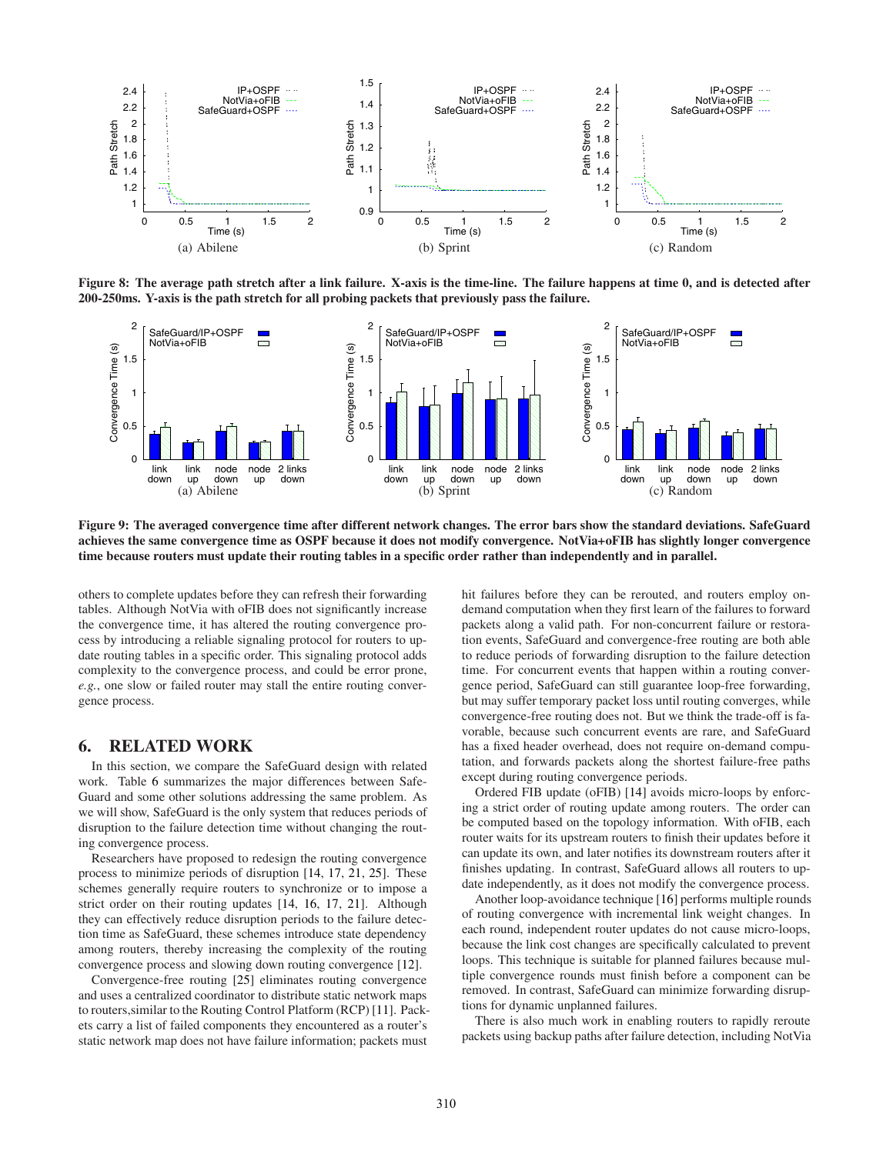

<span id="page-9-1"></span>Figure 8: The average path stretch after a link failure. X-axis is the time-line. The failure happens at time 0, and is detected after 200-250ms. Y-axis is the path stretch for all probing packets that previously pass the failure.



<span id="page-9-2"></span>Figure 9: The averaged convergence time after different network changes. The error bars show the standard deviations. SafeGuard achieves the same convergence time as OSPF because it does not modify convergence. NotVia+oFIB has slightly longer convergence time because routers must update their routing tables in a specific order rather than independently and in parallel.

others to complete updates before they can refresh their forwarding tables. Although NotVia with oFIB does not significantly increase the convergence time, it has altered the routing convergence process by introducing a reliable signaling protocol for routers to update routing tables in a specific order. This signaling protocol adds complexity to the convergence process, and could be error prone, *e.g.*, one slow or failed router may stall the entire routing convergence process.

# <span id="page-9-0"></span>6. RELATED WORK

In this section, we compare the SafeGuard design with related work. Table [6](#page-10-7) summarizes the major differences between Safe-Guard and some other solutions addressing the same problem. As we will show, SafeGuard is the only system that reduces periods of disruption to the failure detection time without changing the routing convergence process.

Researchers have proposed to redesign the routing convergence process to minimize periods of disruption [\[14,](#page-11-6) [17,](#page-11-9) [21](#page-11-10), [25](#page-11-12)]. These schemes generally require routers to synchronize or to impose a strict order on their routing updates [\[14](#page-11-6), [16](#page-11-8), [17](#page-11-9), [21](#page-11-10)]. Although they can effectively reduce disruption periods to the failure detection time as SafeGuard, these schemes introduce state dependency among routers, thereby increasing the complexity of the routing convergence process and slowing down routing convergence [\[12](#page-11-15)].

Convergence-free routing [\[25](#page-11-12)] eliminates routing convergence and uses a centralized coordinator to distribute static network maps to routers,similar to the Routing Control Platform (RCP) [\[11\]](#page-11-27). Packets carry a list of failed components they encountered as a router's static network map does not have failure information; packets must

hit failures before they can be rerouted, and routers employ ondemand computation when they first learn of the failures to forward packets along a valid path. For non-concurrent failure or restoration events, SafeGuard and convergence-free routing are both able to reduce periods of forwarding disruption to the failure detection time. For concurrent events that happen within a routing convergence period, SafeGuard can still guarantee loop-free forwarding, but may suffer temporary packet loss until routing converges, while convergence-free routing does not. But we think the trade-off is favorable, because such concurrent events are rare, and SafeGuard has a fixed header overhead, does not require on-demand computation, and forwards packets along the shortest failure-free paths except during routing convergence periods.

Ordered FIB update (oFIB) [\[14](#page-11-6)] avoids micro-loops by enforcing a strict order of routing update among routers. The order can be computed based on the topology information. With oFIB, each router waits for its upstream routers to finish their updates before it can update its own, and later notifies its downstream routers after it finishes updating. In contrast, SafeGuard allows all routers to update independently, as it does not modify the convergence process.

Another loop-avoidance technique [\[16](#page-11-8)] performs multiple rounds of routing convergence with incremental link weight changes. In each round, independent router updates do not cause micro-loops, because the link cost changes are specifically calculated to prevent loops. This technique is suitable for planned failures because multiple convergence rounds must finish before a component can be removed. In contrast, SafeGuard can minimize forwarding disruptions for dynamic unplanned failures.

There is also much work in enabling routers to rapidly reroute packets using backup paths after failure detection, including NotVia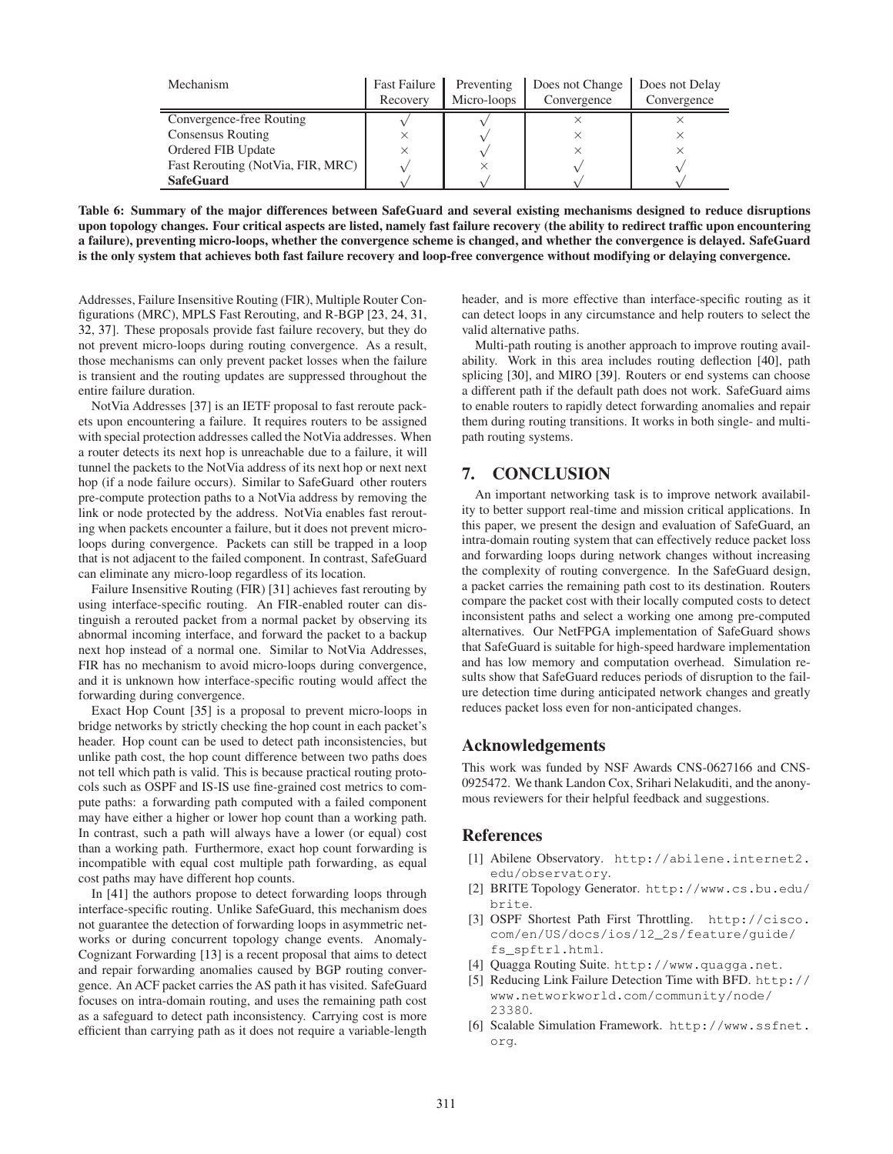| Mechanism                         | <b>Fast Failure</b><br>Recovery | Preventing<br>Micro-loops | Does not Change<br>Convergence | Does not Delay<br>Convergence |
|-----------------------------------|---------------------------------|---------------------------|--------------------------------|-------------------------------|
| Convergence-free Routing          |                                 |                           |                                |                               |
| Consensus Routing                 |                                 |                           |                                |                               |
| Ordered FIB Update                |                                 |                           |                                |                               |
| Fast Rerouting (NotVia, FIR, MRC) |                                 |                           |                                |                               |
| <b>SafeGuard</b>                  |                                 |                           |                                |                               |

<span id="page-10-7"></span>Table 6: Summary of the major differences between SafeGuard and several existing mechanisms designed to reduce disruptions upon topology changes. Four critical aspects are listed, namely fast failure recovery (the ability to redirect traffic upon encountering a failure), preventing micro-loops, whether the convergence scheme is changed, and whether the convergence is delayed. SafeGuard is the only system that achieves both fast failure recovery and loop-free convergence without modifying or delaying convergence.

Addresses, Failure Insensitive Routing (FIR), Multiple Router Configurations (MRC), MPLS Fast Rerouting, and R-BGP [\[23,](#page-11-11) [24](#page-11-28), [31,](#page-11-13) [32,](#page-11-29) [37](#page-11-14)]. These proposals provide fast failure recovery, but they do not prevent micro-loops during routing convergence. As a result, those mechanisms can only prevent packet losses when the failure is transient and the routing updates are suppressed throughout the entire failure duration.

NotVia Addresses [\[37](#page-11-14)] is an IETF proposal to fast reroute packets upon encountering a failure. It requires routers to be assigned with special protection addresses called the NotVia addresses. When a router detects its next hop is unreachable due to a failure, it will tunnel the packets to the NotVia address of its next hop or next next hop (if a node failure occurs). Similar to SafeGuard other routers pre-compute protection paths to a NotVia address by removing the link or node protected by the address. NotVia enables fast rerouting when packets encounter a failure, but it does not prevent microloops during convergence. Packets can still be trapped in a loop that is not adjacent to the failed component. In contrast, SafeGuard can eliminate any micro-loop regardless of its location.

Failure Insensitive Routing (FIR) [\[31\]](#page-11-13) achieves fast rerouting by using interface-specific routing. An FIR-enabled router can distinguish a rerouted packet from a normal packet by observing its abnormal incoming interface, and forward the packet to a backup next hop instead of a normal one. Similar to NotVia Addresses, FIR has no mechanism to avoid micro-loops during convergence, and it is unknown how interface-specific routing would affect the forwarding during convergence.

Exact Hop Count [\[35](#page-11-30)] is a proposal to prevent micro-loops in bridge networks by strictly checking the hop count in each packet's header. Hop count can be used to detect path inconsistencies, but unlike path cost, the hop count difference between two paths does not tell which path is valid. This is because practical routing protocols such as OSPF and IS-IS use fine-grained cost metrics to compute paths: a forwarding path computed with a failed component may have either a higher or lower hop count than a working path. In contrast, such a path will always have a lower (or equal) cost than a working path. Furthermore, exact hop count forwarding is incompatible with equal cost multiple path forwarding, as equal cost paths may have different hop counts.

In [\[41](#page-11-31)] the authors propose to detect forwarding loops through interface-specific routing. Unlike SafeGuard, this mechanism does not guarantee the detection of forwarding loops in asymmetric networks or during concurrent topology change events. Anomaly-Cognizant Forwarding [\[13](#page-11-5)] is a recent proposal that aims to detect and repair forwarding anomalies caused by BGP routing convergence. An ACF packet carries the AS path it has visited. SafeGuard focuses on intra-domain routing, and uses the remaining path cost as a safeguard to detect path inconsistency. Carrying cost is more efficient than carrying path as it does not require a variable-length

header, and is more effective than interface-specific routing as it can detect loops in any circumstance and help routers to select the valid alternative paths.

Multi-path routing is another approach to improve routing availability. Work in this area includes routing deflection [\[40](#page-11-32)], path splicing [\[30\]](#page-11-33), and MIRO [\[39](#page-11-34)]. Routers or end systems can choose a different path if the default path does not work. SafeGuard aims to enable routers to rapidly detect forwarding anomalies and repair them during routing transitions. It works in both single- and multipath routing systems.

# <span id="page-10-2"></span>7. CONCLUSION

An important networking task is to improve network availability to better support real-time and mission critical applications. In this paper, we present the design and evaluation of SafeGuard, an intra-domain routing system that can effectively reduce packet loss and forwarding loops during network changes without increasing the complexity of routing convergence. In the SafeGuard design, a packet carries the remaining path cost to its destination. Routers compare the packet cost with their locally computed costs to detect inconsistent paths and select a working one among pre-computed alternatives. Our NetFPGA implementation of SafeGuard shows that SafeGuard is suitable for high-speed hardware implementation and has low memory and computation overhead. Simulation results show that SafeGuard reduces periods of disruption to the failure detection time during anticipated network changes and greatly reduces packet loss even for non-anticipated changes.

# Acknowledgements

This work was funded by NSF Awards CNS-0627166 and CNS-0925472. We thank Landon Cox, Srihari Nelakuditi, and the anonymous reviewers for their helpful feedback and suggestions.

# <span id="page-10-3"></span>References

- [1] Abilene Observatory. [http://abilene.internet2.](http://abilene.internet2.edu/observatory) [edu/observatory](http://abilene.internet2.edu/observatory).
- <span id="page-10-6"></span>[2] BRITE Topology Generator. [http://www.cs.bu.edu/](http://www.cs.bu.edu/brite) [brite](http://www.cs.bu.edu/brite).
- <span id="page-10-4"></span>[3] OSPF Shortest Path First Throttling. [http://cisco.](http://cisco.com/en/US/docs/ios/12_2s/feature/guide/fs_spftrl.html) [com/en/US/docs/ios/12\\_2s/feature/guide/](http://cisco.com/en/US/docs/ios/12_2s/feature/guide/fs_spftrl.html) [fs\\_spftrl.html](http://cisco.com/en/US/docs/ios/12_2s/feature/guide/fs_spftrl.html).
- <span id="page-10-1"></span>[4] Quagga Routing Suite. <http://www.quagga.net>.
- <span id="page-10-0"></span>[5] Reducing Link Failure Detection Time with BFD. [http://](http://www.networkworld.com/community/node/23380) [www.networkworld.com/community/node/](http://www.networkworld.com/community/node/23380) [23380](http://www.networkworld.com/community/node/23380).
- <span id="page-10-5"></span>[6] Scalable Simulation Framework. [http://www.ssfnet.](http://www.ssfnet.org) [org](http://www.ssfnet.org).